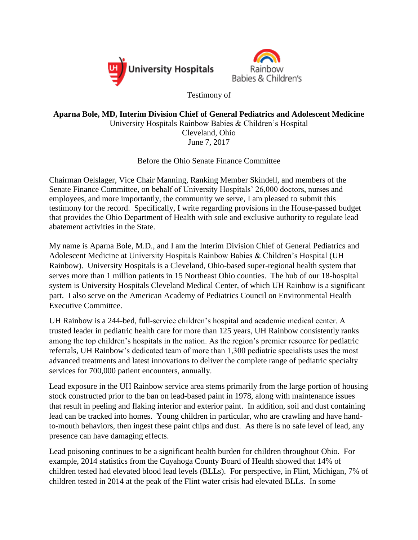



Testimony of

## **Aparna Bole, MD, Interim Division Chief of General Pediatrics and Adolescent Medicine** University Hospitals Rainbow Babies & Children's Hospital Cleveland, Ohio June 7, 2017

Before the Ohio Senate Finance Committee

Chairman Oelslager, Vice Chair Manning, Ranking Member Skindell, and members of the Senate Finance Committee, on behalf of University Hospitals' 26,000 doctors, nurses and employees, and more importantly, the community we serve, I am pleased to submit this testimony for the record. Specifically, I write regarding provisions in the House-passed budget that provides the Ohio Department of Health with sole and exclusive authority to regulate lead abatement activities in the State.

My name is Aparna Bole, M.D., and I am the Interim Division Chief of General Pediatrics and Adolescent Medicine at University Hospitals Rainbow Babies & Children's Hospital (UH Rainbow). University Hospitals is a Cleveland, Ohio-based super-regional health system that serves more than 1 million patients in 15 Northeast Ohio counties. The hub of our 18-hospital system is University Hospitals Cleveland Medical Center, of which UH Rainbow is a significant part. I also serve on the American Academy of Pediatrics Council on Environmental Health Executive Committee.

UH Rainbow is a 244-bed, full-service children's hospital and academic medical center. A trusted leader in pediatric health care for more than 125 years, UH Rainbow consistently ranks among the top children's hospitals in the nation. As the region's premier resource for pediatric referrals, UH Rainbow's dedicated team of more than 1,300 pediatric specialists uses the most advanced treatments and latest innovations to deliver the complete range of pediatric specialty services for 700,000 patient encounters, annually.

Lead exposure in the UH Rainbow service area stems primarily from the large portion of housing stock constructed prior to the ban on lead-based paint in 1978, along with maintenance issues that result in peeling and flaking interior and exterior paint. In addition, soil and dust containing lead can be tracked into homes. Young children in particular, who are crawling and have handto-mouth behaviors, then ingest these paint chips and dust. As there is no safe level of lead, any presence can have damaging effects.

Lead poisoning continues to be a significant health burden for children throughout Ohio. For example, 2014 statistics from the Cuyahoga County Board of Health showed that 14% of children tested had elevated blood lead levels (BLLs). For perspective, in Flint, Michigan, 7% of children tested in 2014 at the peak of the Flint water crisis had elevated BLLs. In some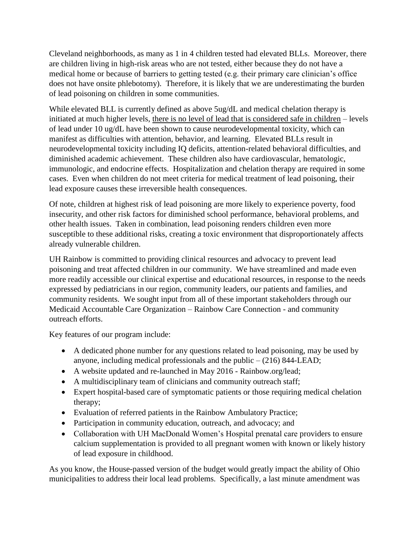Cleveland neighborhoods, as many as 1 in 4 children tested had elevated BLLs. Moreover, there are children living in high-risk areas who are not tested, either because they do not have a medical home or because of barriers to getting tested (e.g. their primary care clinician's office does not have onsite phlebotomy). Therefore, it is likely that we are underestimating the burden of lead poisoning on children in some communities.

While elevated BLL is currently defined as above 5ug/dL and medical chelation therapy is initiated at much higher levels, there is no level of lead that is considered safe in children – levels of lead under 10 ug/dL have been shown to cause neurodevelopmental toxicity, which can manifest as difficulties with attention, behavior, and learning. Elevated BLLs result in neurodevelopmental toxicity including IQ deficits, attention-related behavioral difficulties, and diminished academic achievement. These children also have cardiovascular, hematologic, immunologic, and endocrine effects. Hospitalization and chelation therapy are required in some cases. Even when children do not meet criteria for medical treatment of lead poisoning, their lead exposure causes these irreversible health consequences.

Of note, children at highest risk of lead poisoning are more likely to experience poverty, food insecurity, and other risk factors for diminished school performance, behavioral problems, and other health issues. Taken in combination, lead poisoning renders children even more susceptible to these additional risks, creating a toxic environment that disproportionately affects already vulnerable children.

UH Rainbow is committed to providing clinical resources and advocacy to prevent lead poisoning and treat affected children in our community. We have streamlined and made even more readily accessible our clinical expertise and educational resources, in response to the needs expressed by pediatricians in our region, community leaders, our patients and families, and community residents. We sought input from all of these important stakeholders through our Medicaid Accountable Care Organization – Rainbow Care Connection - and community outreach efforts.

Key features of our program include:

- A dedicated phone number for any questions related to lead poisoning, may be used by anyone, including medical professionals and the public  $- (216) 844$ -LEAD;
- A website updated and re-launched in May 2016 Rainbow.org/lead;
- A multidisciplinary team of clinicians and community outreach staff;
- Expert hospital-based care of symptomatic patients or those requiring medical chelation therapy;
- Evaluation of referred patients in the Rainbow Ambulatory Practice;
- Participation in community education, outreach, and advocacy; and
- Collaboration with UH MacDonald Women's Hospital prenatal care providers to ensure calcium supplementation is provided to all pregnant women with known or likely history of lead exposure in childhood.

As you know, the House-passed version of the budget would greatly impact the ability of Ohio municipalities to address their local lead problems. Specifically, a last minute amendment was